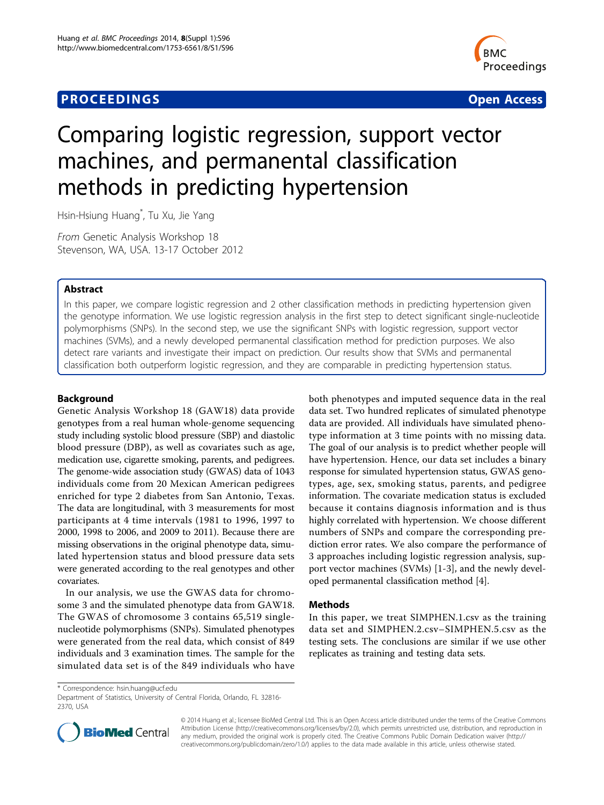# **PROCEEDINGS CONSIDERING S** Open Access **CONSIDERING S**



# Comparing logistic regression, support vector machines, and permanental classification methods in predicting hypertension

Hsin-Hsiung Huang\* , Tu Xu, Jie Yang

From Genetic Analysis Workshop 18 Stevenson, WA, USA. 13-17 October 2012

## Abstract

In this paper, we compare logistic regression and 2 other classification methods in predicting hypertension given the genotype information. We use logistic regression analysis in the first step to detect significant single-nucleotide polymorphisms (SNPs). In the second step, we use the significant SNPs with logistic regression, support vector machines (SVMs), and a newly developed permanental classification method for prediction purposes. We also detect rare variants and investigate their impact on prediction. Our results show that SVMs and permanental classification both outperform logistic regression, and they are comparable in predicting hypertension status.

## Background

Genetic Analysis Workshop 18 (GAW18) data provide genotypes from a real human whole-genome sequencing study including systolic blood pressure (SBP) and diastolic blood pressure (DBP), as well as covariates such as age, medication use, cigarette smoking, parents, and pedigrees. The genome-wide association study (GWAS) data of 1043 individuals come from 20 Mexican American pedigrees enriched for type 2 diabetes from San Antonio, Texas. The data are longitudinal, with 3 measurements for most participants at 4 time intervals (1981 to 1996, 1997 to 2000, 1998 to 2006, and 2009 to 2011). Because there are missing observations in the original phenotype data, simulated hypertension status and blood pressure data sets were generated according to the real genotypes and other covariates.

In our analysis, we use the GWAS data for chromosome 3 and the simulated phenotype data from GAW18. The GWAS of chromosome 3 contains 65,519 singlenucleotide polymorphisms (SNPs). Simulated phenotypes were generated from the real data, which consist of 849 individuals and 3 examination times. The sample for the simulated data set is of the 849 individuals who have both phenotypes and imputed sequence data in the real data set. Two hundred replicates of simulated phenotype data are provided. All individuals have simulated phenotype information at 3 time points with no missing data. The goal of our analysis is to predict whether people will have hypertension. Hence, our data set includes a binary response for simulated hypertension status, GWAS genotypes, age, sex, smoking status, parents, and pedigree information. The covariate medication status is excluded because it contains diagnosis information and is thus highly correlated with hypertension. We choose different numbers of SNPs and compare the corresponding prediction error rates. We also compare the performance of 3 approaches including logistic regression analysis, support vector machines (SVMs) [[1-3](#page-4-0)], and the newly developed permanental classification method [\[4](#page-4-0)].

## Methods

In this paper, we treat SIMPHEN.1.csv as the training data set and SIMPHEN.2.csv–SIMPHEN.5.csv as the testing sets. The conclusions are similar if we use other replicates as training and testing data sets.

\* Correspondence: [hsin.huang@ucf.edu](mailto:hsin.huang@ucf.edu)

Department of Statistics, University of Central Florida, Orlando, FL 32816- 2370, USA



© 2014 Huang et al.; licensee BioMed Central Ltd. This is an Open Access article distributed under the terms of the Creative Commons Attribution License [\(http://creativecommons.org/licenses/by/2.0](http://creativecommons.org/licenses/by/2.0)), which permits unrestricted use, distribution, and reproduction in any medium, provided the original work is properly cited. The Creative Commons Public Domain Dedication waiver [\(http://](http://creativecommons.org/publicdomain/zero/1.0/) [creativecommons.org/publicdomain/zero/1.0/](http://creativecommons.org/publicdomain/zero/1.0/)) applies to the data made available in this article, unless otherwise stated.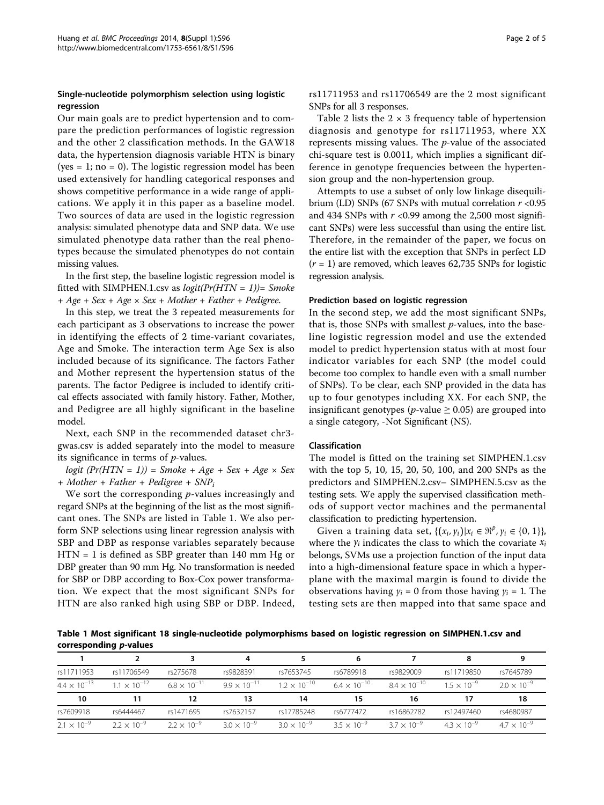## Single-nucleotide polymorphism selection using logistic regression

Our main goals are to predict hypertension and to compare the prediction performances of logistic regression and the other 2 classification methods. In the GAW18 data, the hypertension diagnosis variable HTN is binary (yes  $= 1$ ; no  $= 0$ ). The logistic regression model has been used extensively for handling categorical responses and shows competitive performance in a wide range of applications. We apply it in this paper as a baseline model. Two sources of data are used in the logistic regression analysis: simulated phenotype data and SNP data. We use simulated phenotype data rather than the real phenotypes because the simulated phenotypes do not contain missing values.

In the first step, the baseline logistic regression model is fitted with SIMPHEN.1.csv as  $logit(Pr(HTN = 1)) = Smoke$  $+ Age + Sex + Age \times Sex + Mother + Father + Pedigree.$ 

In this step, we treat the 3 repeated measurements for each participant as 3 observations to increase the power in identifying the effects of 2 time-variant covariates, Age and Smoke. The interaction term Age Sex is also included because of its significance. The factors Father and Mother represent the hypertension status of the parents. The factor Pedigree is included to identify critical effects associated with family history. Father, Mother, and Pedigree are all highly significant in the baseline model.

Next, each SNP in the recommended dataset chr3 gwas.csv is added separately into the model to measure its significance in terms of  $p$ -values.

logit  $(Pr(HTN = 1)) =$  Smoke + Age + Sex + Age  $\times$  Sex  $+ Mother + Father + Pedigree + SNP<sub>i</sub>$ 

We sort the corresponding  $p$ -values increasingly and regard SNPs at the beginning of the list as the most significant ones. The SNPs are listed in Table 1. We also perform SNP selections using linear regression analysis with SBP and DBP as response variables separately because HTN = 1 is defined as SBP greater than 140 mm Hg or DBP greater than 90 mm Hg. No transformation is needed for SBP or DBP according to Box-Cox power transformation. We expect that the most significant SNPs for HTN are also ranked high using SBP or DBP. Indeed, rs11711953 and rs11706549 are the 2 most significant SNPs for all 3 responses.

Table [2](#page-2-0) lists the  $2 \times 3$  frequency table of hypertension diagnosis and genotype for rs11711953, where XX represents missing values. The  $p$ -value of the associated chi-square test is 0.0011, which implies a significant difference in genotype frequencies between the hypertension group and the non-hypertension group.

Attempts to use a subset of only low linkage disequilibrium (LD) SNPs (67 SNPs with mutual correlation  $r < 0.95$ and 434 SNPs with  $r$  <0.99 among the 2,500 most significant SNPs) were less successful than using the entire list. Therefore, in the remainder of the paper, we focus on the entire list with the exception that SNPs in perfect LD  $(r = 1)$  are removed, which leaves 62,735 SNPs for logistic regression analysis.

## Prediction based on logistic regression

In the second step, we add the most significant SNPs, that is, those SNPs with smallest  $p$ -values, into the baseline logistic regression model and use the extended model to predict hypertension status with at most four indicator variables for each SNP (the model could become too complex to handle even with a small number of SNPs). To be clear, each SNP provided in the data has up to four genotypes including XX. For each SNP, the insignificant genotypes (*p*-value  $\geq$  0.05) are grouped into a single category, -Not Significant (NS).

## Classification

The model is fitted on the training set SIMPHEN.1.csv with the top 5, 10, 15, 20, 50, 100, and 200 SNPs as the predictors and SIMPHEN.2.csv– SIMPHEN.5.csv as the testing sets. We apply the supervised classification methods of support vector machines and the permanental classification to predicting hypertension.

Given a training data set,  $\{(x_i, y_i)|x_i \in \mathbb{R}^p, y_i \in \{0, 1\}\},\$ where the *yi* indicates the class to which the covariate *xi* belongs, SVMs use a projection function of the input data into a high-dimensional feature space in which a hyperplane with the maximal margin is found to divide the observations having  $y_i = 0$  from those having  $y_i = 1$ . The testing sets are then mapped into that same space and

Table 1 Most significant 18 single-nucleotide polymorphisms based on logistic regression on SIMPHEN.1.csv and corresponding p-values

| rs11711953            | rs11706549           | rs275678             | rs9828391            | rs7653745            | rs6789918            | rs9829009            | rs11719850           | rs7645789           |
|-----------------------|----------------------|----------------------|----------------------|----------------------|----------------------|----------------------|----------------------|---------------------|
| $4.4 \times 10^{-13}$ | $11 \times 10^{-12}$ | $68 \times 10^{-11}$ | $99 \times 10^{-11}$ | $12 \times 10^{-10}$ | $64 \times 10^{-10}$ | $84 \times 10^{-10}$ | $1.5 \times 10^{-9}$ | $20 \times 10^{-9}$ |
|                       |                      |                      |                      |                      |                      |                      |                      |                     |
| 10                    |                      | 12                   | 13                   | 14                   | 15                   | 16                   |                      | 18                  |
| rs7609918             | rs6444467            | rs1471695            | rs7632157            | rs17785248           | rs6777472            | rs16862782           | rs12497460           | rs4680987           |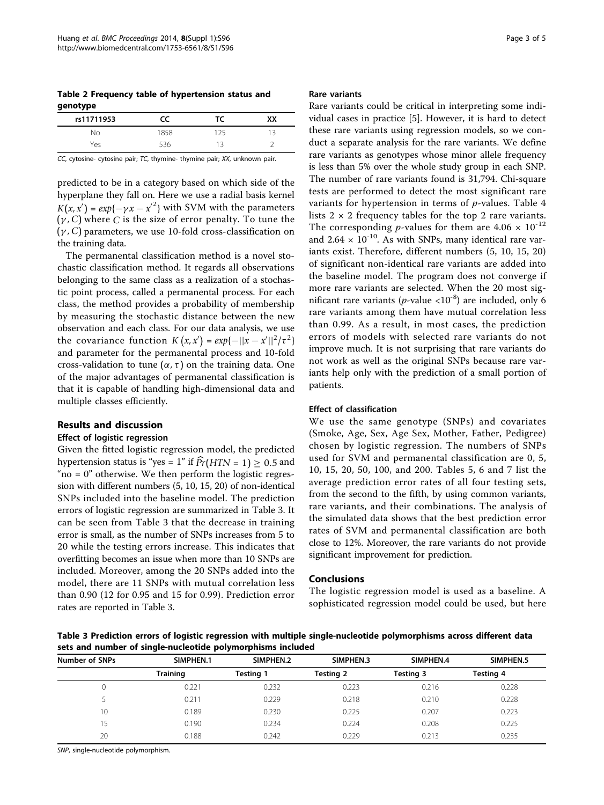<span id="page-2-0"></span>Table 2 Frequency table of hypertension status and genotype

| rs11711953 |      | тс  | xх |
|------------|------|-----|----|
| N٥         | 1858 | 175 |    |
| ,΄ρς       | - 36 |     | -  |

CC, cytosine- cytosine pair; TC, thymine- thymine pair; XX, unknown pair.

predicted to be in a category based on which side of the hyperplane they fall on. Here we use a radial basis kernel  $K(x, x') = exp{-\gamma x - x'^2}$  with SVM with the parameters  $(\gamma, C)$  where *C* is the size of error penalty. To tune the  $(\gamma, C)$  parameters, we use 10-fold cross-classification on the training data.

The permanental classification method is a novel stochastic classification method. It regards all observations belonging to the same class as a realization of a stochastic point process, called a permanental process. For each class, the method provides a probability of membership by measuring the stochastic distance between the new observation and each class. For our data analysis, we use the covariance function  $K(x, x') = exp{-\frac{|x - x'|^2}{\tau^2}}$ and parameter for the permanental process and 10-fold cross-validation to tune  $(\alpha, \tau)$  on the training data. One of the major advantages of permanental classification is that it is capable of handling high-dimensional data and multiple classes efficiently.

#### Results and discussion

## Effect of logistic regression

Given the fitted logistic regression model, the predicted hypertension status is "yes = 1" if  $\widehat{Pr}(HTN = 1) \ge 0.5$  and " $no = 0$ " otherwise. We then perform the logistic regression with different numbers (5, 10, 15, 20) of non-identical SNPs included into the baseline model. The prediction errors of logistic regression are summarized in Table 3. It can be seen from Table 3 that the decrease in training error is small, as the number of SNPs increases from 5 to 20 while the testing errors increase. This indicates that overfitting becomes an issue when more than 10 SNPs are included. Moreover, among the 20 SNPs added into the model, there are 11 SNPs with mutual correlation less than 0.90 (12 for 0.95 and 15 for 0.99). Prediction error rates are reported in Table 3.

#### Rare variants

Rare variants could be critical in interpreting some individual cases in practice [\[5](#page-4-0)]. However, it is hard to detect these rare variants using regression models, so we conduct a separate analysis for the rare variants. We define rare variants as genotypes whose minor allele frequency is less than 5% over the whole study group in each SNP. The number of rare variants found is 31,794. Chi-square tests are performed to detect the most significant rare variants for hypertension in terms of p-values. Table [4](#page-3-0) lists  $2 \times 2$  frequency tables for the top 2 rare variants. The corresponding *p*-values for them are  $4.06 \times 10^{-12}$ and  $2.64 \times 10^{-10}$ . As with SNPs, many identical rare variants exist. Therefore, different numbers (5, 10, 15, 20) of significant non-identical rare variants are added into the baseline model. The program does not converge if more rare variants are selected. When the 20 most significant rare variants (*p*-value <10<sup>-8</sup>) are included, only 6 rare variants among them have mutual correlation less than 0.99. As a result, in most cases, the prediction errors of models with selected rare variants do not improve much. It is not surprising that rare variants do not work as well as the original SNPs because rare variants help only with the prediction of a small portion of patients.

## Effect of classification

We use the same genotype (SNPs) and covariates (Smoke, Age, Sex, Age Sex, Mother, Father, Pedigree) chosen by logistic regression. The numbers of SNPs used for SVM and permanental classification are 0, 5, 10, 15, 20, 50, 100, and 200. Tables [5, 6](#page-3-0) and [7](#page-3-0) list the average prediction error rates of all four testing sets, from the second to the fifth, by using common variants, rare variants, and their combinations. The analysis of the simulated data shows that the best prediction error rates of SVM and permanental classification are both close to 12%. Moreover, the rare variants do not provide significant improvement for prediction.

#### Conclusions

The logistic regression model is used as a baseline. A sophisticated regression model could be used, but here

Table 3 Prediction errors of logistic regression with multiple single-nucleotide polymorphisms across different data sets and number of single-nucleotide polymorphisms included

| Number of SNPs | SIMPHEN.1       | SIMPHEN.2 | SIMPHEN.3 | SIMPHEN.4 | SIMPHEN.5 |
|----------------|-----------------|-----------|-----------|-----------|-----------|
|                | <b>Training</b> | Testing 1 | Testing 2 | Testing 3 | Testing 4 |
|                | 0.221           | 0.232     | 0.223     | 0.216     | 0.228     |
|                | 0.211           | 0.229     | 0.218     | 0.210     | 0.228     |
| 10             | 0.189           | 0.230     | 0.225     | 0.207     | 0.223     |
|                | 0.190           | 0.234     | 0.224     | 0.208     | 0.225     |
| 20             | 0.188           | 0.242     | 0.229     | 0.213     | 0.235     |

SNP, single-nucleotide polymorphism.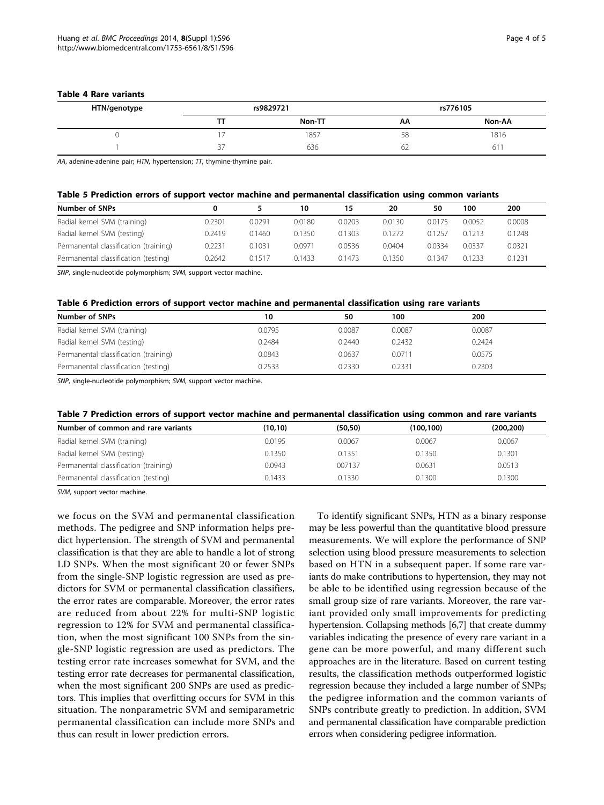#### <span id="page-3-0"></span>Table 4 Rare variants

| HTN/genotype | rs9829721 |        |    | rs776105 |
|--------------|-----------|--------|----|----------|
|              |           | Non-TT | АΑ | Non-AA   |
|              |           | 1857   | 58 | 1816     |
|              | <u>.</u>  | 636    | 62 | 01       |

AA, adenine-adenine pair; HTN, hypertension;  $T$ , thymine-thymine pair.

| Table 5 Prediction errors of support vector machine and permanental classification using common variants |  |  |
|----------------------------------------------------------------------------------------------------------|--|--|
|                                                                                                          |  |  |

| Number of SNPs                        | 0      |        | 10     | 15     | 20     | 50     | 100    | 200    |
|---------------------------------------|--------|--------|--------|--------|--------|--------|--------|--------|
| Radial kernel SVM (training)          | 0.2301 | 0.0291 | 0.0180 | 0.0203 | 0.0130 | 0.0175 | 0.0052 | 0.0008 |
| Radial kernel SVM (testing)           | 0.2419 | 0.1460 | 0.1350 | 0.1303 | 0.1272 | 0.1257 | 0.1213 | 0.1248 |
| Permanental classification (training) | 0.2231 | 0.1031 | 0.0971 | 0.0536 | 0.0404 | 0.0334 | 0.0337 | 0.0321 |
| Permanental classification (testing)  | 0.2642 | 0.1517 | 0.1433 | 0.1473 | 0.1350 | 0.1347 | 0.1233 | 0.1231 |

SNP, single-nucleotide polymorphism; SVM, support vector machine.

## Table 6 Prediction errors of support vector machine and permanental classification using rare variants

| Number of SNPs                        | 10     | 50     | 100    | 200    |
|---------------------------------------|--------|--------|--------|--------|
| Radial kernel SVM (training)          | 0.0795 | 0.0087 | 0.0087 | 0.0087 |
| Radial kernel SVM (testing)           | 0.2484 | 0.2440 | 0.2432 | 0.2424 |
| Permanental classification (training) | 0.0843 | 0.0637 | 0.0711 | 0.0575 |
| Permanental classification (testing)  | 0.2533 | 0.2330 | 0.2331 | 0.2303 |

SNP, single-nucleotide polymorphism; SVM, support vector machine.

| Table 7 Prediction errors of support vector machine and permanental classification using common and rare variants |  |  |  |  |  |
|-------------------------------------------------------------------------------------------------------------------|--|--|--|--|--|
|-------------------------------------------------------------------------------------------------------------------|--|--|--|--|--|

| Number of common and rare variants    | (10, 10) | (50, 50) | (100, 100) | (200,200) |
|---------------------------------------|----------|----------|------------|-----------|
| Radial kernel SVM (training)          | 0.0195   | 0.0067   | 0.0067     | 0.0067    |
| Radial kernel SVM (testing)           | 0.1350   | 0.1351   | 0.1350     | 0.1301    |
| Permanental classification (training) | 0.0943   | 007137   | 0.0631     | 0.0513    |
| Permanental classification (testing)  | 0.1433   | 0.1330   | 0.1300     | 0.1300    |

SVM, support vector machine.

we focus on the SVM and permanental classification methods. The pedigree and SNP information helps predict hypertension. The strength of SVM and permanental classification is that they are able to handle a lot of strong LD SNPs. When the most significant 20 or fewer SNPs from the single-SNP logistic regression are used as predictors for SVM or permanental classification classifiers, the error rates are comparable. Moreover, the error rates are reduced from about 22% for multi-SNP logistic regression to 12% for SVM and permanental classification, when the most significant 100 SNPs from the single-SNP logistic regression are used as predictors. The testing error rate increases somewhat for SVM, and the testing error rate decreases for permanental classification, when the most significant 200 SNPs are used as predictors. This implies that overfitting occurs for SVM in this situation. The nonparametric SVM and semiparametric permanental classification can include more SNPs and thus can result in lower prediction errors.

To identify significant SNPs, HTN as a binary response may be less powerful than the quantitative blood pressure measurements. We will explore the performance of SNP selection using blood pressure measurements to selection based on HTN in a subsequent paper. If some rare variants do make contributions to hypertension, they may not be able to be identified using regression because of the small group size of rare variants. Moreover, the rare variant provided only small improvements for predicting hypertension. Collapsing methods [[6,7](#page-4-0)] that create dummy variables indicating the presence of every rare variant in a gene can be more powerful, and many different such approaches are in the literature. Based on current testing results, the classification methods outperformed logistic regression because they included a large number of SNPs; the pedigree information and the common variants of SNPs contribute greatly to prediction. In addition, SVM and permanental classification have comparable prediction errors when considering pedigree information.